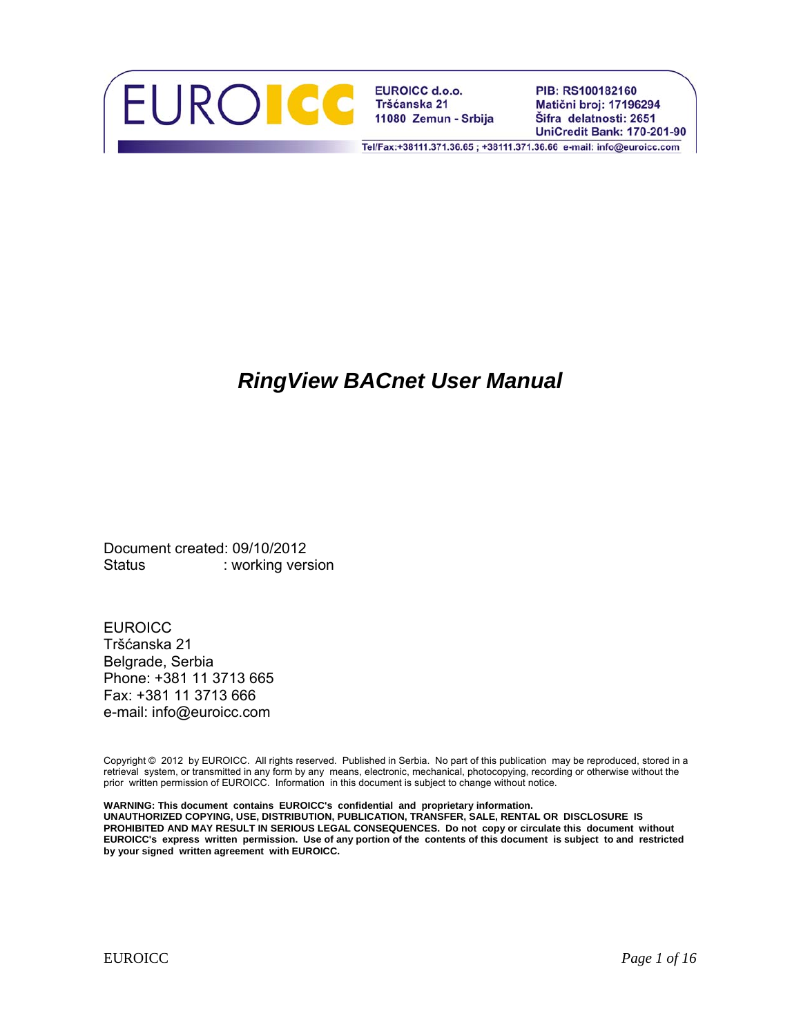

**EUROICC d.o.o.** Tršćanska 21 11080 Zemun - Srbija PIB: RS100182160 Matični broj: 17196294 Šifra delatnosti: 2651 **UniCredit Bank: 170-201-90** 

Tel/Fax:+38111.371.36.65; +38111.371.36.66 e-mail: info@euroicc.com

# *RingView BACnet User Manual*

Document created: 09/10/2012 Status : working version

**EUROICC** Tršćanska 21 Belgrade, Serbia Phone: +381 11 3713 665 Fax: +381 11 3713 666 e-mail: info@euroicc.com

Copyright © 2012 by EUROICC. All rights reserved. Published in Serbia. No part of this publication may be reproduced, stored in a retrieval system, or transmitted in any form by any means, electronic, mechanical, photocopying, recording or otherwise without the prior written permission of EUROICC. Information in this document is subject to change without notice.

**WARNING: This document contains EUROICC's confidential and proprietary information. UNAUTHORIZED COPYING, USE, DISTRIBUTION, PUBLICATION, TRANSFER, SALE, RENTAL OR DISCLOSURE IS PROHIBITED AND MAY RESULT IN SERIOUS LEGAL CONSEQUENCES. Do not copy or circulate this document without EUROICC's express written permission. Use of any portion of the contents of this document is subject to and restricted by your signed written agreement with EUROICC.**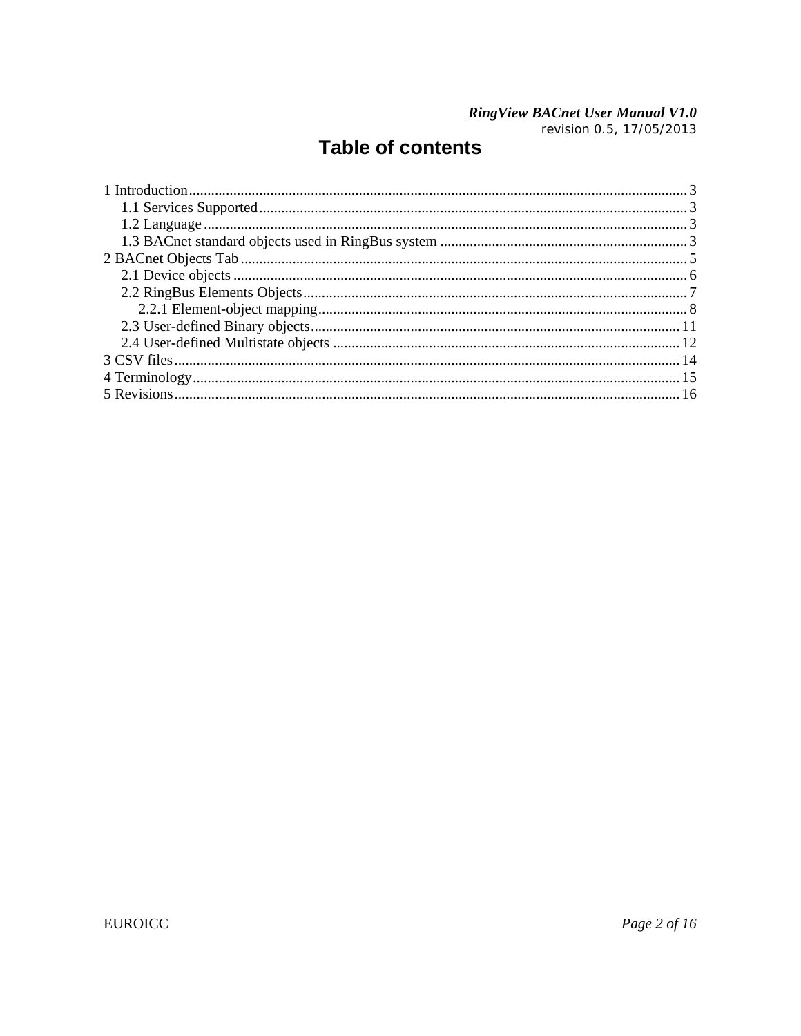# **RingView BACnet User Manual V1.0**<br>revision 0.5, 17/05/2013

# **Table of contents**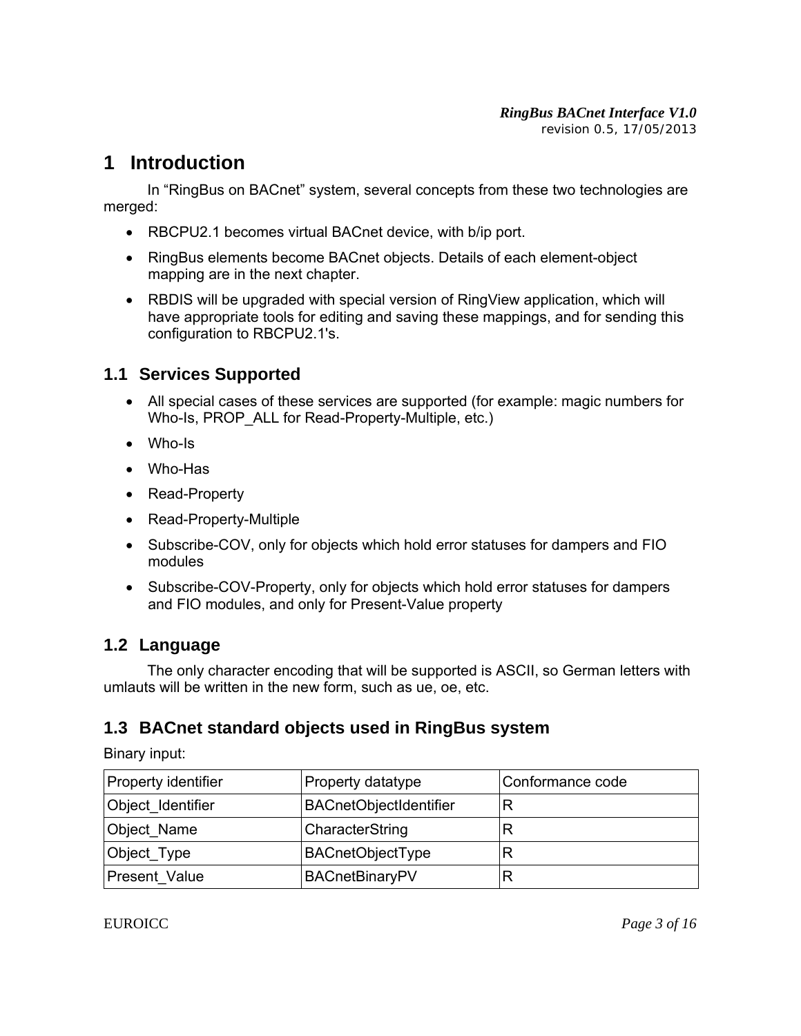## **1 Introduction**

 In "RingBus on BACnet" system, several concepts from these two technologies are merged:

- RBCPU2.1 becomes virtual BACnet device, with b/ip port.
- RingBus elements become BACnet objects. Details of each element-object mapping are in the next chapter.
- RBDIS will be upgraded with special version of RingView application, which will have appropriate tools for editing and saving these mappings, and for sending this configuration to RBCPU2.1's.

### **1.1 Services Supported**

- All special cases of these services are supported (for example: magic numbers for Who-Is, PROP ALL for Read-Property-Multiple, etc.)
- Who-Is
- Who-Has
- Read-Property
- Read-Property-Multiple
- Subscribe-COV, only for objects which hold error statuses for dampers and FIO modules
- Subscribe-COV-Property, only for objects which hold error statuses for dampers and FIO modules, and only for Present-Value property

### **1.2 Language**

 The only character encoding that will be supported is ASCII, so German letters with umlauts will be written in the new form, such as ue, oe, etc.

### **1.3 BACnet standard objects used in RingBus system**

Binary input:

| Property identifier | Property datatype             | Conformance code |
|---------------------|-------------------------------|------------------|
| Object Identifier   | <b>BACnetObjectIdentifier</b> |                  |
| Object Name         | CharacterString               | R                |
| Object_Type         | <b>BACnetObjectType</b>       | R                |
| Present Value       | <b>BACnetBinaryPV</b>         | R                |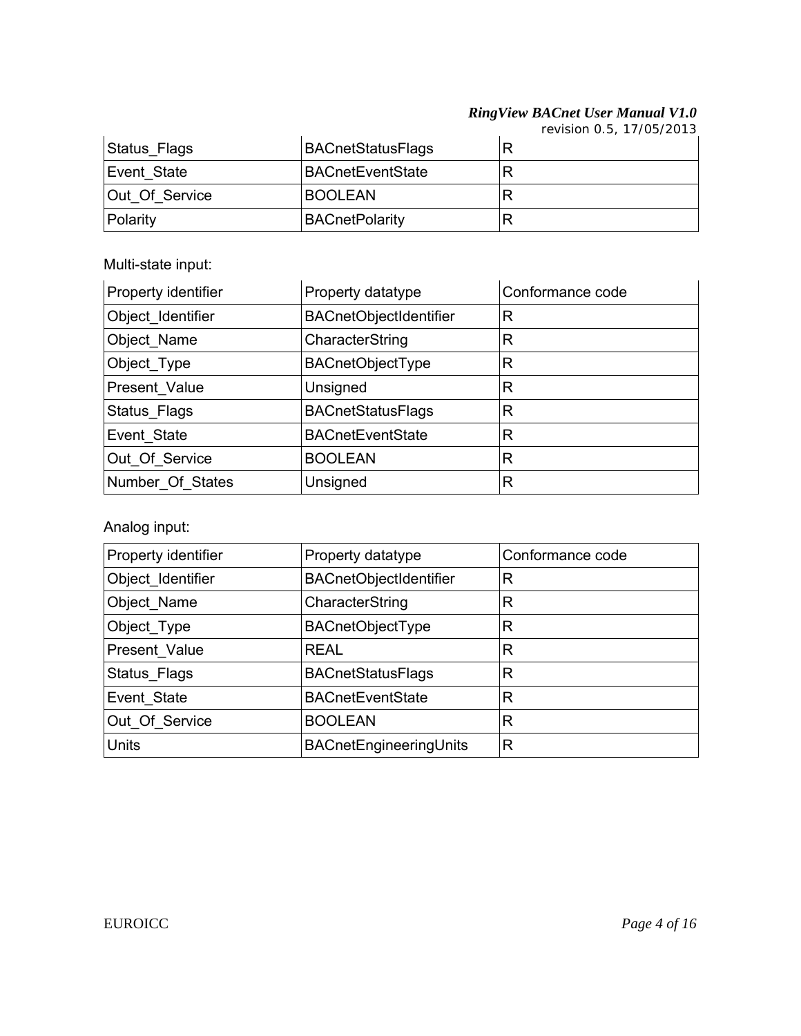*revision 0.5, 17/05/2013*

| Status_Flags   | <b>BACnetStatusFlags</b> |  |
|----------------|--------------------------|--|
| Event State    | <b>BACnetEventState</b>  |  |
| Out Of Service | <b>BOOLEAN</b>           |  |
| Polarity       | <b>BACnetPolarity</b>    |  |

Multi-state input:

| Property identifier | Property datatype        | Conformance code |
|---------------------|--------------------------|------------------|
| Object_Identifier   | BACnetObjectIdentifier   | R                |
| Object_Name         | CharacterString          | R                |
| Object_Type         | <b>BACnetObjectType</b>  | R                |
| Present_Value       | Unsigned                 | R                |
| Status_Flags        | <b>BACnetStatusFlags</b> | R                |
| Event State         | <b>BACnetEventState</b>  | R                |
| Out Of Service      | <b>BOOLEAN</b>           | R                |
| Number Of States    | Unsigned                 | R                |

Analog input:

| Property identifier | Property datatype             | Conformance code |
|---------------------|-------------------------------|------------------|
| Object_Identifier   | <b>BACnetObjectIdentifier</b> | R                |
| Object_Name         | CharacterString               | R                |
| Object_Type         | <b>BACnetObjectType</b>       | R                |
| Present Value       | <b>REAL</b>                   | R                |
| Status_Flags        | <b>BACnetStatusFlags</b>      | R                |
| Event State         | <b>BACnetEventState</b>       | R                |
| Out Of Service      | <b>BOOLEAN</b>                | R                |
| <b>Units</b>        | BACnetEngineeringUnits        | R                |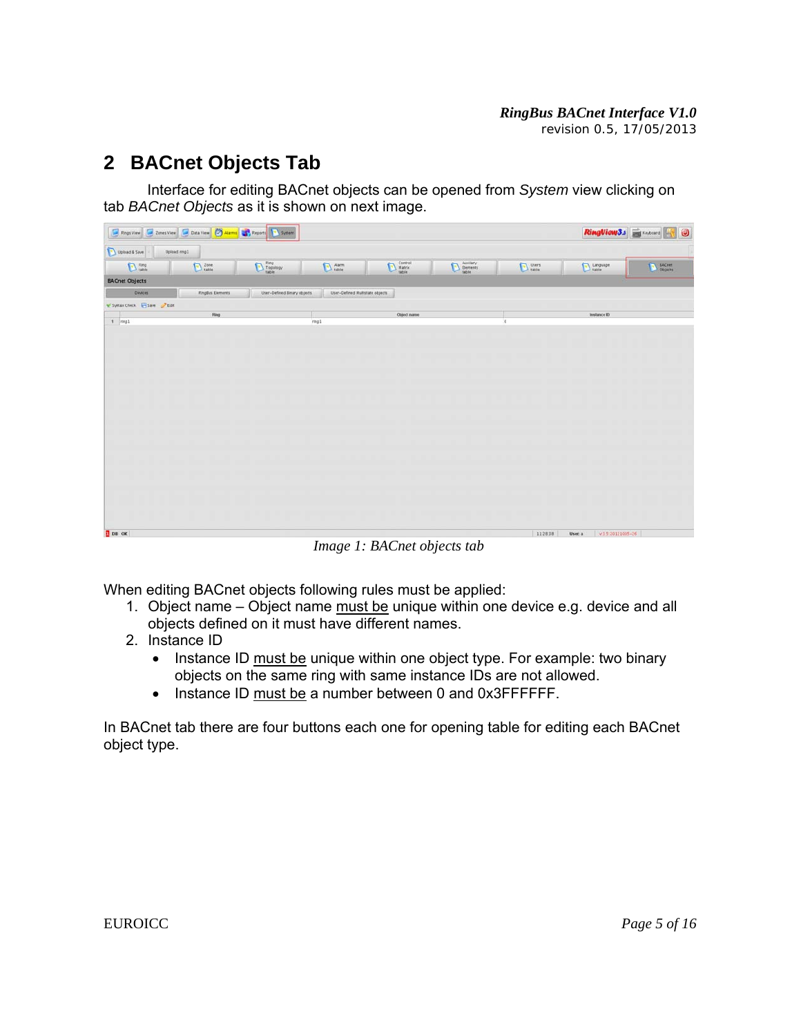# **2 BACnet Objects Tab**

 Interface for editing BACnet objects can be opened from *System* view clicking on tab *BACnet Objects* as it is shown on next image.

|                                     | <b>E</b> Pings View <b>C</b> Cones View C Data View <b>C</b> Alarms <b>C</b> , Peports <b>C</b> System |                                                |                                 |                                                                                                                                                                                                                                                                                                                                                                                                                                                                                                             |                                    |           | RingViow3.3 Extended     | $\bullet$     |
|-------------------------------------|--------------------------------------------------------------------------------------------------------|------------------------------------------------|---------------------------------|-------------------------------------------------------------------------------------------------------------------------------------------------------------------------------------------------------------------------------------------------------------------------------------------------------------------------------------------------------------------------------------------------------------------------------------------------------------------------------------------------------------|------------------------------------|-----------|--------------------------|---------------|
| Upload & Save                       | Upload ring1                                                                                           |                                                |                                 |                                                                                                                                                                                                                                                                                                                                                                                                                                                                                                             |                                    |           |                          |               |
| $D$ Fing                            | $\sum$ Zone                                                                                            | $\bigcup \frac{\mathrm{Eng}}{\mathrm{tapley}}$ | $Aarm$<br>table                 | $\begin{tabular}{ c c } \hline \multicolumn{3}{ c }{\textbf{Current}}\\ \hline \multicolumn{3}{ c }{\textbf{Matrix}}\\ \hline \multicolumn{3}{ c }{\textbf{Matrix}}\\ \hline \multicolumn{3}{ c }{\textbf{Matrix}}\\ \hline \multicolumn{3}{ c }{\textbf{Matrix}}\\ \hline \multicolumn{3}{ c }{\textbf{Matrix}}\\ \hline \multicolumn{3}{ c }{\textbf{Matrix}}\\ \hline \multicolumn{3}{ c }{\textbf{Matrix}}\\ \hline \multicolumn{3}{ c }{\textbf{Matrix}}\\ \hline \multicolumn{3}{ c }{\textbf{Matrix$ | Auxilary<br>Elements<br>table<br>Đ | $D$ Users | Language                 | $\sum$ BACnet |
| <b>BACnet Objects</b>               |                                                                                                        |                                                |                                 |                                                                                                                                                                                                                                                                                                                                                                                                                                                                                                             |                                    |           |                          |               |
| <b>Devices</b>                      | <b>RingBus Elements</b>                                                                                | User-Defined Brary objects                     | User-Defined Multistate objects |                                                                                                                                                                                                                                                                                                                                                                                                                                                                                                             |                                    |           |                          |               |
| * Synux Check <b>El Save</b> 2 Edit |                                                                                                        |                                                |                                 |                                                                                                                                                                                                                                                                                                                                                                                                                                                                                                             |                                    |           |                          |               |
| $1$ $mag1$                          | Filmp                                                                                                  |                                                | ring1                           | Object name                                                                                                                                                                                                                                                                                                                                                                                                                                                                                                 |                                    | $\lambda$ | Instance ID              |               |
|                                     |                                                                                                        |                                                |                                 |                                                                                                                                                                                                                                                                                                                                                                                                                                                                                                             |                                    |           |                          |               |
|                                     |                                                                                                        |                                                |                                 |                                                                                                                                                                                                                                                                                                                                                                                                                                                                                                             |                                    |           |                          |               |
|                                     |                                                                                                        |                                                |                                 |                                                                                                                                                                                                                                                                                                                                                                                                                                                                                                             |                                    |           |                          |               |
|                                     |                                                                                                        |                                                |                                 |                                                                                                                                                                                                                                                                                                                                                                                                                                                                                                             |                                    |           |                          |               |
|                                     |                                                                                                        |                                                |                                 |                                                                                                                                                                                                                                                                                                                                                                                                                                                                                                             |                                    |           |                          |               |
|                                     |                                                                                                        |                                                |                                 |                                                                                                                                                                                                                                                                                                                                                                                                                                                                                                             |                                    |           |                          |               |
|                                     |                                                                                                        |                                                |                                 |                                                                                                                                                                                                                                                                                                                                                                                                                                                                                                             |                                    |           |                          |               |
|                                     |                                                                                                        |                                                |                                 |                                                                                                                                                                                                                                                                                                                                                                                                                                                                                                             |                                    |           |                          |               |
|                                     |                                                                                                        |                                                |                                 |                                                                                                                                                                                                                                                                                                                                                                                                                                                                                                             |                                    |           |                          |               |
|                                     |                                                                                                        |                                                |                                 |                                                                                                                                                                                                                                                                                                                                                                                                                                                                                                             |                                    |           |                          |               |
|                                     |                                                                                                        |                                                |                                 |                                                                                                                                                                                                                                                                                                                                                                                                                                                                                                             |                                    |           |                          |               |
|                                     |                                                                                                        |                                                |                                 |                                                                                                                                                                                                                                                                                                                                                                                                                                                                                                             |                                    |           |                          |               |
|                                     |                                                                                                        |                                                |                                 |                                                                                                                                                                                                                                                                                                                                                                                                                                                                                                             |                                    |           |                          |               |
|                                     |                                                                                                        |                                                |                                 |                                                                                                                                                                                                                                                                                                                                                                                                                                                                                                             |                                    |           |                          |               |
|                                     |                                                                                                        |                                                |                                 |                                                                                                                                                                                                                                                                                                                                                                                                                                                                                                             |                                    |           |                          |               |
| $\sqrt{2}$ DB OK                    |                                                                                                        |                                                |                                 |                                                                                                                                                                                                                                                                                                                                                                                                                                                                                                             |                                    | 11.28.38  | V1520121005-26<br>Usen a |               |

*Image 1: BACnet objects tab* 

When editing BACnet objects following rules must be applied:

- 1. Object name Object name must be unique within one device e.g. device and all objects defined on it must have different names.
- 2. Instance ID
	- Instance ID must be unique within one object type. For example: two binary objects on the same ring with same instance IDs are not allowed.
	- Instance ID must be a number between 0 and 0x3FFFFFF.

In BACnet tab there are four buttons each one for opening table for editing each BACnet object type.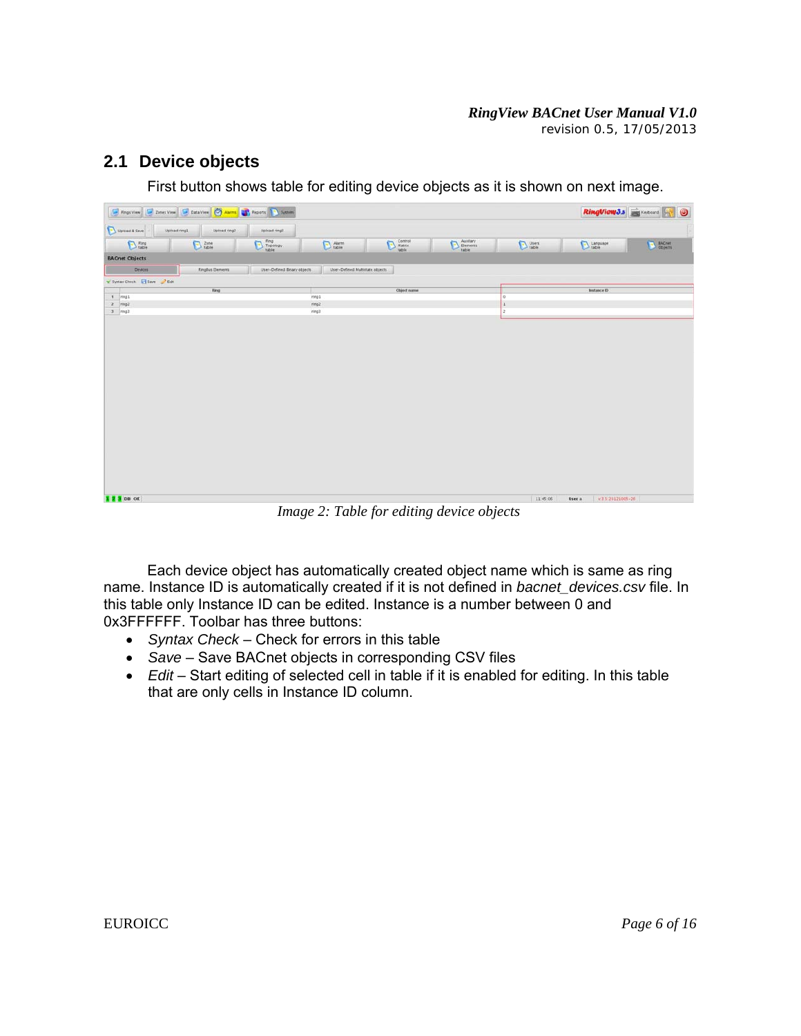#### **2.1 Device objects**

First button shows table for editing device objects as it is shown on next image.

| Upload & Save<br>Upload ring1<br>$D_{\text{table}}^{\text{Fing}}$<br><b>BACnet Objects</b><br>Devices<br>V Syntax Check El Save Box<br>$\mathbf{t}$  nng1<br>$2$ mg2<br>$3$ $mag3$ | Upload ring2<br>$D$ zone<br>RingBus Elements<br>Ring | Upload ring?<br>$\begin{tabular}{ c c } \hline \quad \quad & ring \\ \hline \quad \quad & Tepology \\ \hline \quad \quad & half \\ \end{tabular}$<br>User-Defined Binary objects | $D$ Alarm<br>User-Defined Multistate objects | $\bigodot \begin{array}{c} \text{Centrol} \\ \text{Matrix} \\ \text{Table} \end{array}$ | Auxitary<br>Elements<br>Table<br>D | $\sum$ users       | Language                 | <b>EACH</b> |  |
|------------------------------------------------------------------------------------------------------------------------------------------------------------------------------------|------------------------------------------------------|----------------------------------------------------------------------------------------------------------------------------------------------------------------------------------|----------------------------------------------|-----------------------------------------------------------------------------------------|------------------------------------|--------------------|--------------------------|-------------|--|
|                                                                                                                                                                                    |                                                      |                                                                                                                                                                                  |                                              |                                                                                         |                                    |                    |                          |             |  |
|                                                                                                                                                                                    |                                                      |                                                                                                                                                                                  |                                              |                                                                                         |                                    |                    |                          |             |  |
|                                                                                                                                                                                    |                                                      |                                                                                                                                                                                  |                                              |                                                                                         |                                    |                    |                          |             |  |
|                                                                                                                                                                                    |                                                      |                                                                                                                                                                                  |                                              |                                                                                         |                                    |                    |                          |             |  |
|                                                                                                                                                                                    |                                                      |                                                                                                                                                                                  |                                              |                                                                                         |                                    |                    |                          |             |  |
|                                                                                                                                                                                    |                                                      |                                                                                                                                                                                  |                                              | Object name                                                                             |                                    |                    | Instance ID              |             |  |
|                                                                                                                                                                                    |                                                      |                                                                                                                                                                                  | ring1<br>ring?                               |                                                                                         |                                    | $\theta$<br>$\,$ 1 |                          |             |  |
|                                                                                                                                                                                    |                                                      |                                                                                                                                                                                  | ring3                                        |                                                                                         |                                    | $\frac{1}{2}$      |                          |             |  |
|                                                                                                                                                                                    |                                                      |                                                                                                                                                                                  |                                              |                                                                                         |                                    |                    |                          |             |  |
|                                                                                                                                                                                    |                                                      |                                                                                                                                                                                  |                                              |                                                                                         |                                    |                    |                          |             |  |
|                                                                                                                                                                                    |                                                      |                                                                                                                                                                                  |                                              |                                                                                         |                                    |                    |                          |             |  |
|                                                                                                                                                                                    |                                                      |                                                                                                                                                                                  |                                              |                                                                                         |                                    |                    |                          |             |  |
|                                                                                                                                                                                    |                                                      |                                                                                                                                                                                  |                                              |                                                                                         |                                    |                    |                          |             |  |
|                                                                                                                                                                                    |                                                      |                                                                                                                                                                                  |                                              |                                                                                         |                                    |                    |                          |             |  |
|                                                                                                                                                                                    |                                                      |                                                                                                                                                                                  |                                              |                                                                                         |                                    |                    |                          |             |  |
|                                                                                                                                                                                    |                                                      |                                                                                                                                                                                  |                                              |                                                                                         |                                    |                    |                          |             |  |
|                                                                                                                                                                                    |                                                      |                                                                                                                                                                                  |                                              |                                                                                         |                                    |                    |                          |             |  |
|                                                                                                                                                                                    |                                                      |                                                                                                                                                                                  |                                              |                                                                                         |                                    |                    |                          |             |  |
|                                                                                                                                                                                    |                                                      |                                                                                                                                                                                  |                                              |                                                                                         |                                    |                    |                          |             |  |
|                                                                                                                                                                                    |                                                      |                                                                                                                                                                                  |                                              |                                                                                         |                                    |                    |                          |             |  |
|                                                                                                                                                                                    |                                                      |                                                                                                                                                                                  |                                              |                                                                                         |                                    |                    |                          |             |  |
|                                                                                                                                                                                    |                                                      |                                                                                                                                                                                  |                                              |                                                                                         |                                    |                    |                          |             |  |
|                                                                                                                                                                                    |                                                      |                                                                                                                                                                                  |                                              |                                                                                         |                                    |                    |                          |             |  |
|                                                                                                                                                                                    |                                                      |                                                                                                                                                                                  |                                              |                                                                                         |                                    |                    |                          |             |  |
|                                                                                                                                                                                    |                                                      |                                                                                                                                                                                  |                                              |                                                                                         |                                    |                    |                          |             |  |
|                                                                                                                                                                                    |                                                      |                                                                                                                                                                                  |                                              |                                                                                         |                                    |                    |                          |             |  |
|                                                                                                                                                                                    |                                                      |                                                                                                                                                                                  |                                              |                                                                                         |                                    |                    |                          |             |  |
|                                                                                                                                                                                    |                                                      |                                                                                                                                                                                  |                                              |                                                                                         |                                    |                    |                          |             |  |
|                                                                                                                                                                                    |                                                      |                                                                                                                                                                                  |                                              |                                                                                         |                                    |                    |                          |             |  |
| <b>X 2 3</b> DB OK                                                                                                                                                                 |                                                      |                                                                                                                                                                                  |                                              |                                                                                         |                                    | 11:45:06           | V7520121005-26<br>User a |             |  |

*Image 2: Table for editing device objects* 

 Each device object has automatically created object name which is same as ring name. Instance ID is automatically created if it is not defined in *bacnet\_devices.csv* file. In this table only Instance ID can be edited. Instance is a number between 0 and 0x3FFFFFF. Toolbar has three buttons:

- *Syntax Check* Check for errors in this table
- *Save* Save BACnet objects in corresponding CSV files
- *Edit* Start editing of selected cell in table if it is enabled for editing. In this table that are only cells in Instance ID column.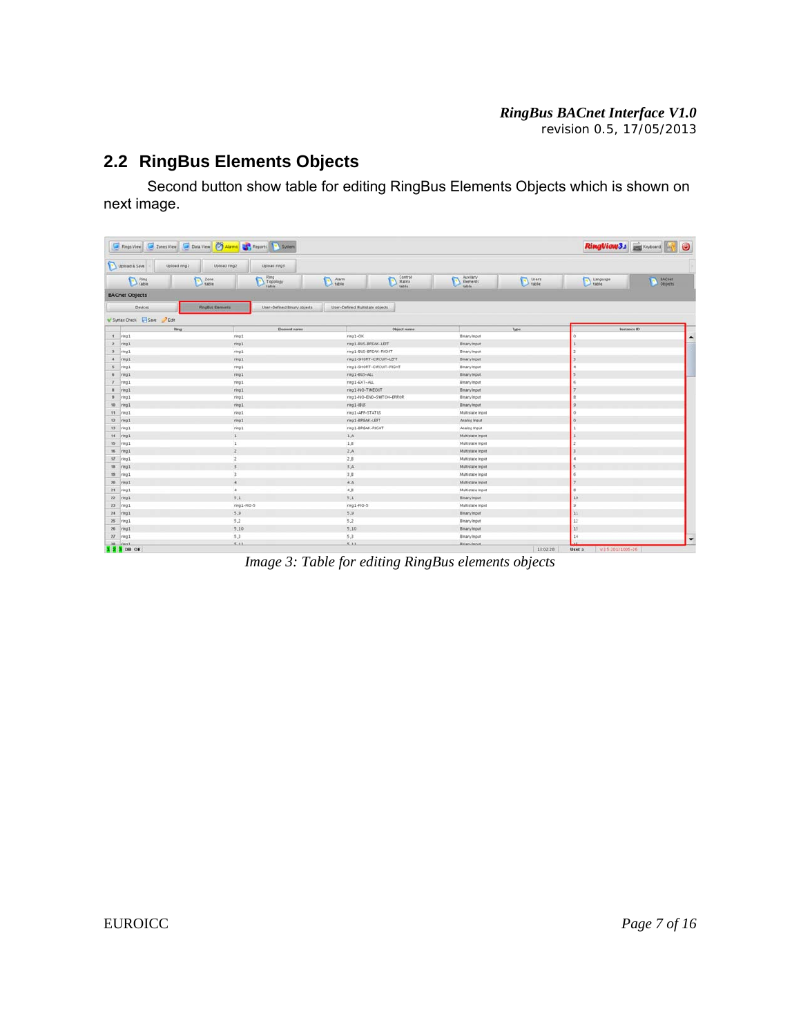#### *RingBus BACnet Interface V1.0 revision 0.5, 17/05/2013*

### **2.2 RingBus Elements Objects**

 Second button show table for editing RingBus Elements Objects which is shown on next image.

|                        | Fings View Tones View Data View 3, Reports 3, System |                                  |                                 |                               |                                              |          |                            | RingView3.s Extended W. O         |
|------------------------|------------------------------------------------------|----------------------------------|---------------------------------|-------------------------------|----------------------------------------------|----------|----------------------------|-----------------------------------|
| Upload & Save          | Upload ring1<br>Upload ring2                         | Eprin baobb!                     |                                 |                               |                                              |          |                            |                                   |
| <b>B</b> Fing          | $\sum$ Zone                                          | <b>Ring</b><br>Topology<br>table | Alarm                           | Control<br>Matrix             | Auxilary<br>D<br><b>Elements</b><br>table    | Users    | Language                   | <b>A</b> EACnet<br><b>Objects</b> |
| <b>BACnet Objects</b>  |                                                      |                                  |                                 |                               |                                              |          |                            |                                   |
| Devices                | <b>RingBut Elements</b>                              | User-Defined Binary objects      | User-Defined Multistate objects |                               |                                              |          |                            |                                   |
| Syntax Check Save Box  |                                                      |                                  |                                 |                               |                                              |          |                            |                                   |
|                        | Fing                                                 | Element name                     |                                 | Object name                   |                                              | Type     |                            | Instance ID                       |
| 1 ring1                | ring1                                                |                                  | ring1-OK                        |                               | <b>Binary Input</b>                          |          |                            |                                   |
| $2$ ring 1             | ring1                                                |                                  | ring1-BLS-BREAK-LEFT            |                               | <b>Enary Input</b>                           |          |                            |                                   |
| 3 ring1                | ring1                                                |                                  | ring1-BUS-BREAK-RIGHT           |                               | Binary Input                                 |          |                            |                                   |
| $4$ ring1              | ring1                                                |                                  |                                 | ring1-SHORT-CIRCUIT-LEFT      | Binary Input                                 |          |                            |                                   |
| 5 ring1                | ring1                                                |                                  |                                 | ring1-SHORT-CIRCUIT-RIGHT     | <b>Binary Input</b>                          |          |                            |                                   |
| # <i>iring1</i>        | ring1                                                |                                  | ring1-BUS-ALL                   |                               | <b>Binary Input</b>                          |          |                            |                                   |
| $7$ $ring 1$           | ring1                                                |                                  |                                 | ring1-EXT-ALL<br>Binary Input |                                              |          |                            |                                   |
| # iring1               | ring1                                                |                                  | ring1-NO-TIMEOUT                |                               | <b>Binary Input</b>                          |          |                            |                                   |
| # ring1<br>ring1       |                                                      |                                  |                                 | ring1-N0-DID-SWITCH-ERROR     | <b>Binary Input</b>                          |          |                            |                                   |
| 10 ring1               | ring1                                                |                                  | ring1-排15                       |                               | <b>Binary Input</b>                          |          |                            |                                   |
| 11 nngl                | ring1                                                |                                  | ring1-APP-STATUS                |                               | Multistate Input                             |          |                            |                                   |
| 12 ring1               | ring1                                                |                                  | mng1-BREAK-LEFT                 |                               | Analog Input                                 |          |                            |                                   |
| 13 ring1               | ring1                                                |                                  | ring1-BREAK-RIGHT               |                               | Analog Input                                 |          |                            |                                   |
| 14 ring1               | $1\,$                                                |                                  | 1A                              |                               | <b>Multistate Input</b>                      |          |                            |                                   |
| 15 ring1               | $\mathbf{1}$                                         |                                  | 1,8                             |                               | Multistate Input                             |          |                            |                                   |
| 16 inng1               | $\overline{z}$                                       |                                  | 2.A                             |                               | Multistate Input                             |          |                            |                                   |
| <b>SF</b> ring1        | $\overline{2}$                                       |                                  | 2.8                             |                               | Multistate Input                             |          |                            |                                   |
| 18 ring1               | $\overline{3}$                                       |                                  | 3.A                             |                               | Multistate Input                             |          |                            |                                   |
| 19 ring1               | $\mathbf 1$                                          |                                  | 3,8                             |                               | Multistate Input                             |          |                            |                                   |
| 20 ring1               | $\overline{A}$                                       |                                  | A.A.                            |                               | Multistate Input<br>Multistate Input         |          |                            |                                   |
| 21 ring1               | $4^{\circ}$                                          |                                  |                                 | 4.8.                          |                                              |          |                            |                                   |
| 22 ring1               | 5.1                                                  |                                  |                                 | 5.1                           |                                              |          | $-10$                      |                                   |
| $23$ ring1             | ring1-RO-5                                           |                                  |                                 | ring1-FID-5                   |                                              |          |                            |                                   |
| $24$ $ring1$           | 5,9                                                  |                                  | 5.9<br>5.2                      |                               | 11 <br><b>Binary Input</b>                   |          |                            |                                   |
| 25 mg1<br>26 ring1     | 5.2<br>5,10                                          |                                  | 5.10                            |                               | <b>Binary Input</b><br><b>Binary Input</b>   |          | $12$<br>13                 |                                   |
|                        |                                                      |                                  |                                 |                               |                                              |          | 14                         |                                   |
| $27$ ring1.<br>38 (ms) | 5.3<br>5.11                                          |                                  | 5.3<br>8.11                     |                               | <b>Binary Input</b><br><b>Biskan Journal</b> |          |                            |                                   |
| 1 2 3 DB OK            |                                                      |                                  |                                 |                               |                                              | 13:02:28 | V3 5 20121005-26<br>User a |                                   |

*Image 3: Table for editing RingBus elements objects*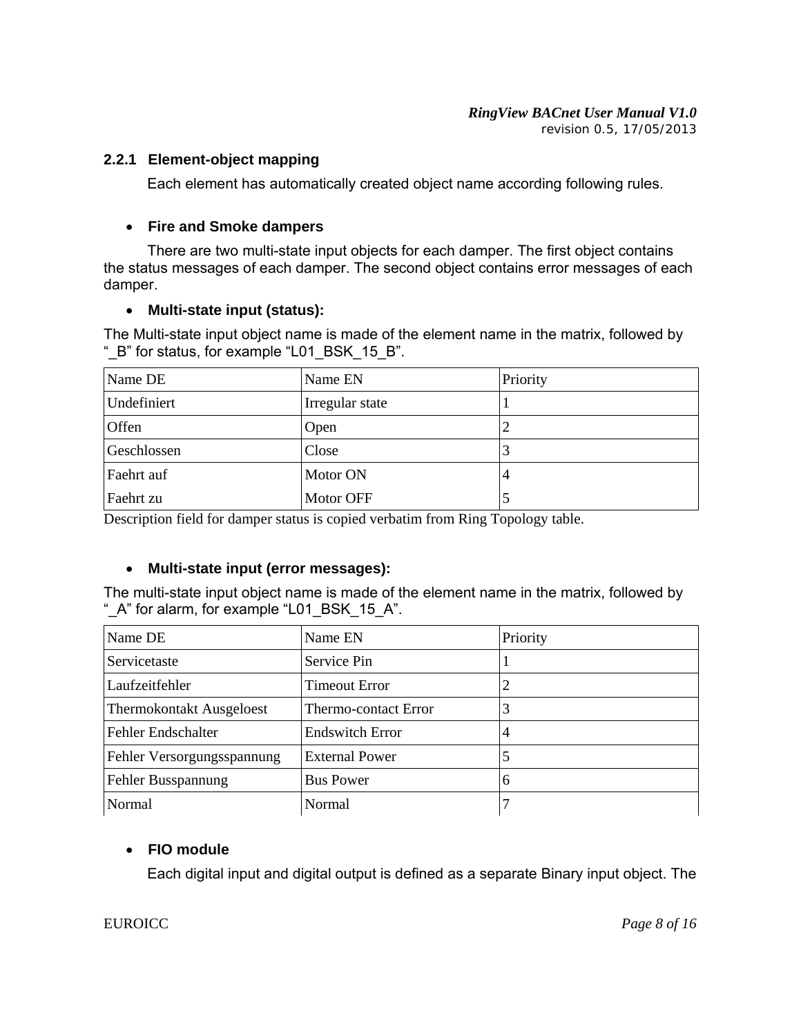*revision 0.5, 17/05/2013*

#### **2.2.1 Element-object mapping**

Each element has automatically created object name according following rules.

#### **Fire and Smoke dampers**

 There are two multi-state input objects for each damper. The first object contains the status messages of each damper. The second object contains error messages of each damper.

#### **Multi-state input (status):**

The Multi-state input object name is made of the element name in the matrix, followed by "\_B" for status, for example "L01\_BSK\_15\_B".

| Name DE     | Name EN         | Priority       |
|-------------|-----------------|----------------|
| Undefiniert | Irregular state |                |
| Offen       | Open            | $\overline{2}$ |
| Geschlossen | Close           | 3              |
| Faehrt auf  | Motor ON        | $\overline{4}$ |
| Faehrt zu   | Motor OFF       | 5              |

Description field for damper status is copied verbatim from Ring Topology table.

#### **Multi-state input (error messages):**

The multi-state input object name is made of the element name in the matrix, followed by "\_A" for alarm, for example "L01\_BSK\_15\_A".

| Name DE                         | Name EN                | Priority |
|---------------------------------|------------------------|----------|
| Servicetaste                    | Service Pin            |          |
| Laufzeitfehler                  | Timeout Error          |          |
| <b>Thermokontakt Ausgeloest</b> | Thermo-contact Error   | 3        |
| Fehler Endschalter              | <b>Endswitch Error</b> | 4        |
| Fehler Versorgungsspannung      | <b>External Power</b>  |          |
| Fehler Busspannung              | <b>Bus Power</b>       | 6        |
| Normal                          | Normal                 |          |

#### **FIO module**

Each digital input and digital output is defined as a separate Binary input object. The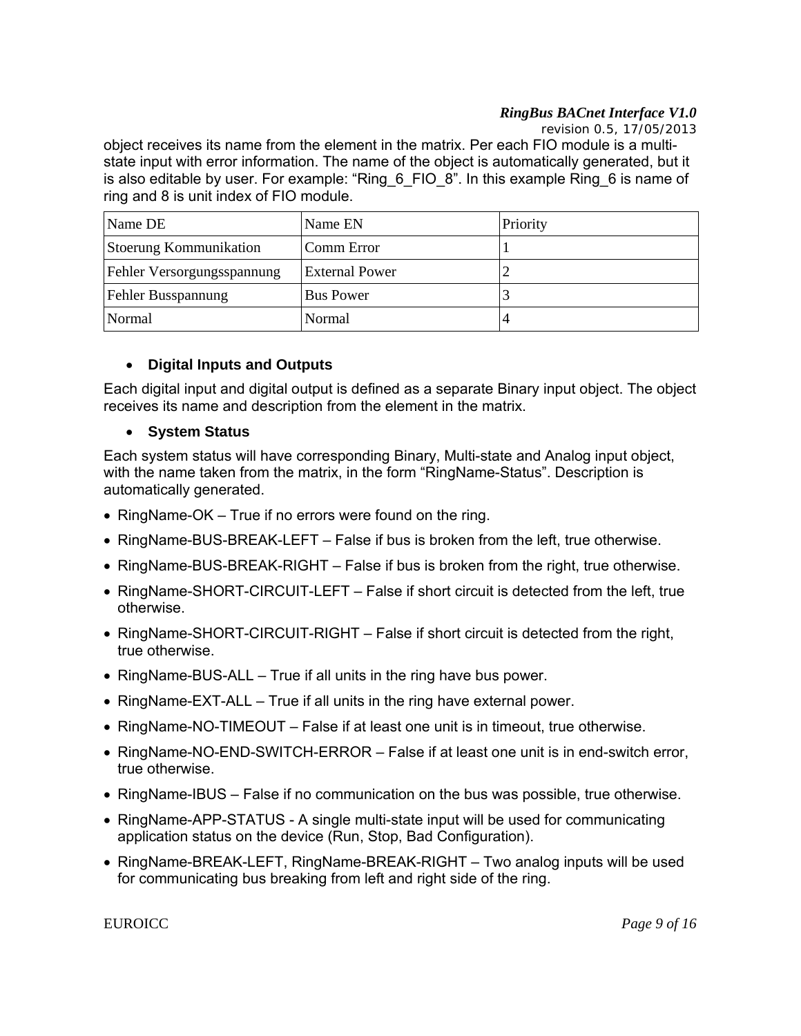#### *RingBus BACnet Interface V1.0*

 *revision 0.5, 17/05/2013*

object receives its name from the element in the matrix. Per each FIO module is a multistate input with error information. The name of the object is automatically generated, but it is also editable by user. For example: "Ring\_6\_FIO\_8". In this example Ring\_6 is name of ring and 8 is unit index of FIO module.

| Name DE                    | Name EN               | Priority |
|----------------------------|-----------------------|----------|
| Stoerung Kommunikation     | Comm Error            |          |
| Fehler Versorgungsspannung | <b>External Power</b> | ∽        |
| Fehler Busspannung         | <b>Bus Power</b>      |          |
| Normal                     | Normal                | 4        |

#### **Digital Inputs and Outputs**

Each digital input and digital output is defined as a separate Binary input object. The object receives its name and description from the element in the matrix.

#### **System Status**

Each system status will have corresponding Binary, Multi-state and Analog input object, with the name taken from the matrix, in the form "RingName-Status". Description is automatically generated.

- RingName-OK True if no errors were found on the ring.
- RingName-BUS-BREAK-LEFT False if bus is broken from the left, true otherwise.
- RingName-BUS-BREAK-RIGHT False if bus is broken from the right, true otherwise.
- RingName-SHORT-CIRCUIT-LEFT False if short circuit is detected from the left, true otherwise.
- RingName-SHORT-CIRCUIT-RIGHT False if short circuit is detected from the right, true otherwise.
- RingName-BUS-ALL True if all units in the ring have bus power.
- $\bullet$  RingName-EXT-ALL True if all units in the ring have external power.
- RingName-NO-TIMEOUT False if at least one unit is in timeout, true otherwise.
- RingName-NO-END-SWITCH-ERROR False if at least one unit is in end-switch error, true otherwise.
- RingName-IBUS False if no communication on the bus was possible, true otherwise.
- RingName-APP-STATUS A single multi-state input will be used for communicating application status on the device (Run, Stop, Bad Configuration).
- RingName-BREAK-LEFT, RingName-BREAK-RIGHT Two analog inputs will be used for communicating bus breaking from left and right side of the ring.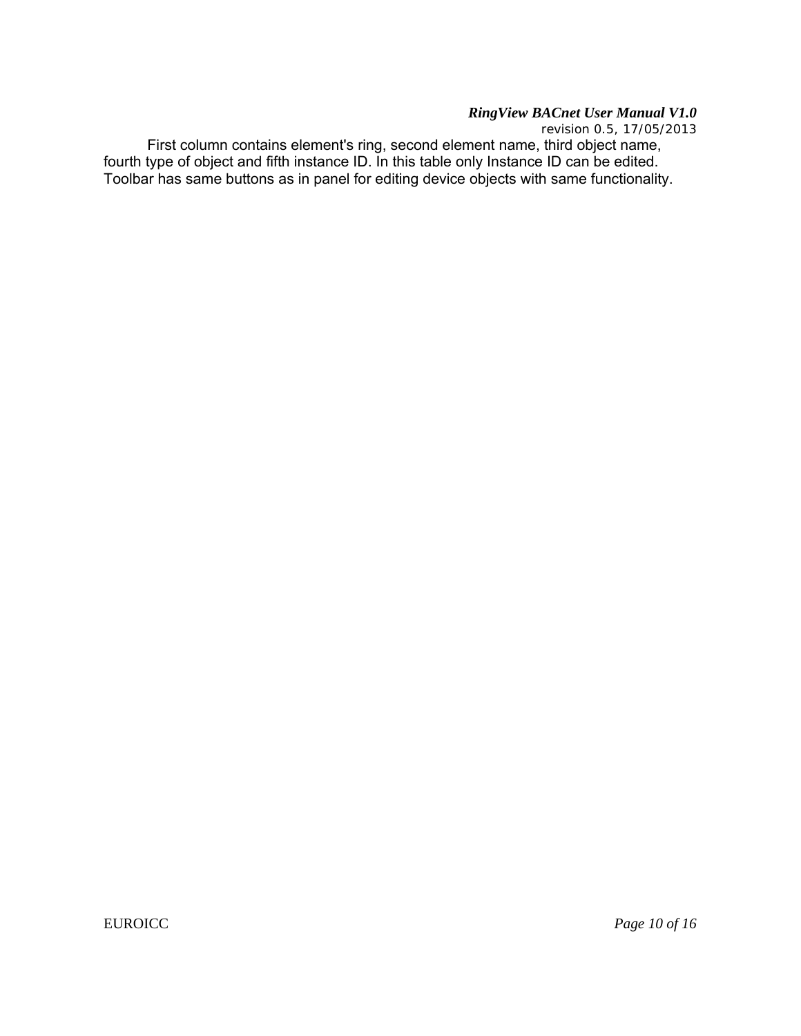*revision 0.5, 17/05/2013*

 First column contains element's ring, second element name, third object name, fourth type of object and fifth instance ID. In this table only Instance ID can be edited. Toolbar has same buttons as in panel for editing device objects with same functionality.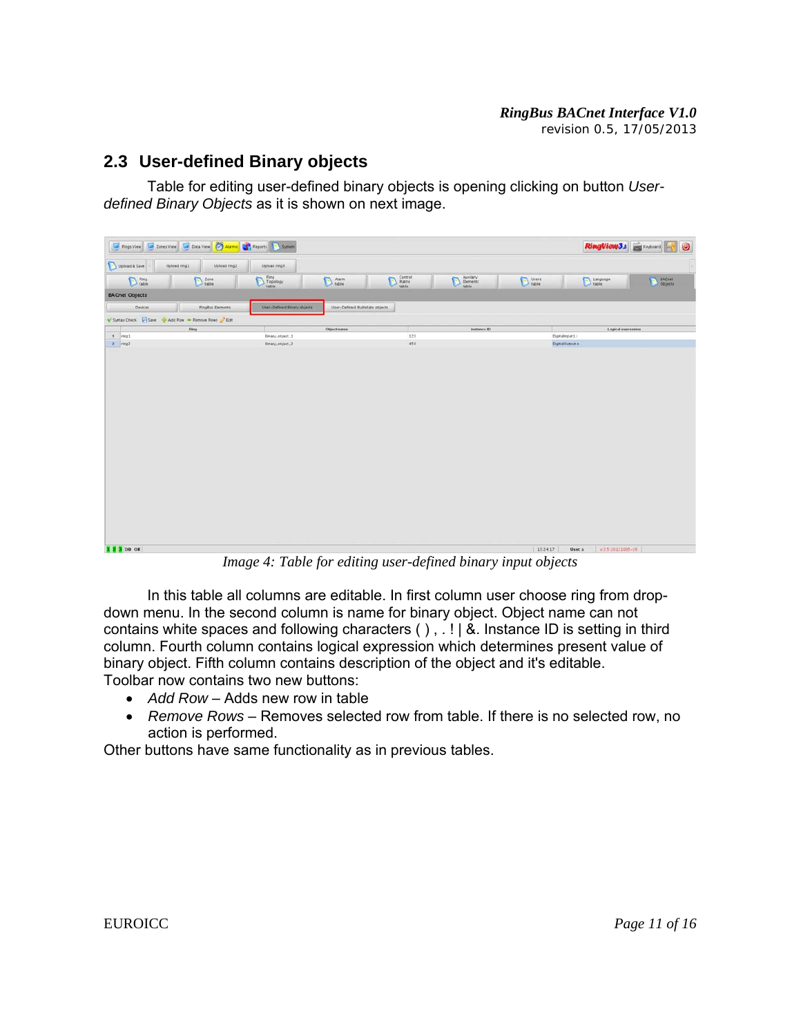#### **2.3 User-defined Binary objects**

 Table for editing user-defined binary objects is opening clicking on button *Userdefined Binary Objects* as it is shown on next image.

|                                                    | Pings View 3 Zones View Data View 3 Alams 3, Peports 3 System |                                |                                 |                                 |                                   |                                                                                                             | RingView3.5 Extended       | $\circledcirc$ |
|----------------------------------------------------|---------------------------------------------------------------|--------------------------------|---------------------------------|---------------------------------|-----------------------------------|-------------------------------------------------------------------------------------------------------------|----------------------------|----------------|
| Upload & Save                                      | Upload ring1<br>Upload ring2                                  | Upload ring?                   |                                 |                                 |                                   |                                                                                                             |                            |                |
| $D$ Ring                                           | $\sum$ Zone                                                   | Ring<br>Topology<br>Table<br>o | $Aarm$<br>table                 | Control<br>Matrix<br>table<br>D | Auxiary<br>Elements<br>table<br>D | $\begin{tabular}{ c c } \hline \textbf{D} \textbf{ users} \\ \hline \textbf{Table} \\ \hline \end{tabular}$ | Language                   | EACnet         |
| <b>BACnet Objects</b>                              |                                                               |                                |                                 |                                 |                                   |                                                                                                             |                            |                |
| Devices                                            | <b>RingBus Elements</b>                                       | User-Defined Binary objects    | User-Defined Multistate objects |                                 |                                   |                                                                                                             |                            |                |
| V Syntax Check Save + Add Row - Remove Rows 2 Edit |                                                               |                                |                                 |                                 |                                   |                                                                                                             |                            |                |
| $1$ $mid$                                          | Ring                                                          | Binary_object_1                | Object name                     | 123                             | Instance ID                       | Dipitalinput Li                                                                                             | Legical expression         |                |
| $2$ neg2                                           |                                                               | Binary_object_2                |                                 | 456                             |                                   |                                                                                                             | DigitalOutput.o            |                |
|                                                    |                                                               |                                |                                 |                                 |                                   |                                                                                                             |                            |                |
| 1 2 3 DB OK                                        |                                                               |                                |                                 |                                 |                                   | 13:24:17                                                                                                    | V3 5 20121005-26<br>User a |                |

*Image 4: Table for editing user-defined binary input objects* 

 In this table all columns are editable. In first column user choose ring from dropdown menu. In the second column is name for binary object. Object name can not contains white spaces and following characters ( ) , . ! | &. Instance ID is setting in third column. Fourth column contains logical expression which determines present value of binary object. Fifth column contains description of the object and it's editable. Toolbar now contains two new buttons:

- *Add Row* Adds new row in table
- *Remove Rows* Removes selected row from table. If there is no selected row, no action is performed.

Other buttons have same functionality as in previous tables.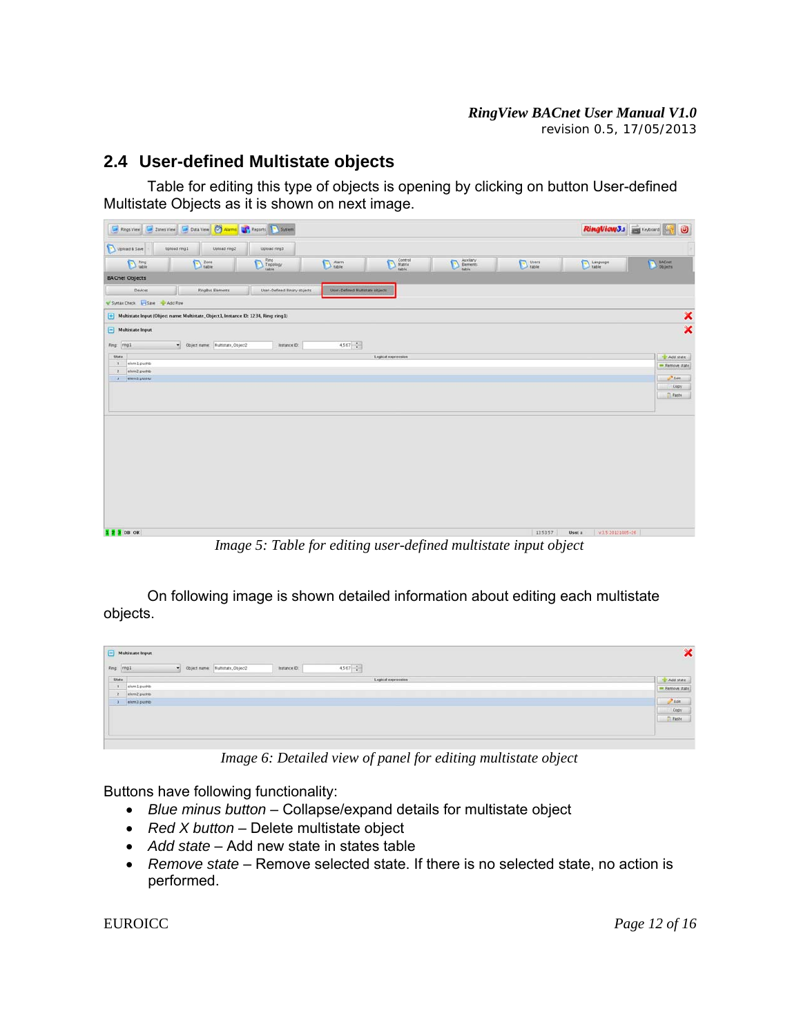#### *RingView BACnet User Manual V1.0 revision 0.5, 17/05/2013*

#### **2.4 User-defined Multistate objects**

 Table for editing this type of objects is opening by clicking on button User-defined Multistate Objects as it is shown on next image.

| Rings View Zones View C Data View C Alarms C Peports C System                                      |                                      |                                   |           | RingViow3.s Expressed | $\circledcirc$            |
|----------------------------------------------------------------------------------------------------|--------------------------------------|-----------------------------------|-----------|-----------------------|---------------------------|
| Uplead & Save<br>Upload ring1<br>Upload ring2<br>Upload ring3                                      |                                      |                                   |           |                       |                           |
| $\sum_{\text{table}}^{\text{Ring}}$<br>$\sum$ Ring<br>$\sum$ Zone                                  | Control<br>Matrix<br>Italie<br>Alarm | Auxiary<br>Elements<br>table<br>D | $D$ tiers | Language              | <b>D</b> BACnet           |
| <b>BACnet Objects</b>                                                                              |                                      |                                   |           |                       |                           |
| Devices<br><b>RingBus Elements</b><br>User-Defined Binary objects<br>Syntax Check H Save & Add Row | User-Defined Muttistate objects      |                                   |           |                       |                           |
| [+] Multistate Input (Object name: Multistate, Object1, Instance ID: 1234, Ring ring1)             |                                      |                                   |           |                       | ×                         |
| $\Box$ Multistate Input<br>Fing ring1<br>· Object name: Multistate_Object2<br>Instance ID:         | $4,567 - 2$                          |                                   |           |                       | $\boldsymbol{\mathsf{x}}$ |
| State:                                                                                             | Logical expression                   |                                   |           |                       | -Addistate                |
| elem1.pushb<br>$\mathbf{1}$                                                                        |                                      |                                   |           |                       | - Remove state            |
| $\overline{z}$<br>elem2 pushb<br>3 elem3 pushb                                                     |                                      |                                   |           |                       | $3$ Edit                  |
|                                                                                                    |                                      |                                   |           |                       | Copy                      |
|                                                                                                    |                                      |                                   |           |                       | <b>C</b> Paste            |
|                                                                                                    |                                      |                                   |           |                       |                           |
|                                                                                                    |                                      |                                   |           |                       |                           |
|                                                                                                    |                                      |                                   |           |                       |                           |
|                                                                                                    |                                      |                                   |           |                       |                           |
|                                                                                                    |                                      |                                   |           |                       |                           |
|                                                                                                    |                                      |                                   |           |                       |                           |
|                                                                                                    |                                      |                                   |           |                       |                           |

*Image 5: Table for editing user-defined multistate input object*

On following image is shown detailed information about editing each multistate objects.

| State<br>Logical expression<br>1 elem1 pushb | Add state                                    |
|----------------------------------------------|----------------------------------------------|
|                                              |                                              |
|                                              | Remove state                                 |
| 2 elem2.pushb                                |                                              |
| 3 elem3 pushb                                |                                              |
|                                              | $\frac{\partial \text{ Edt}}{\partial \psi}$ |
|                                              | <b>Page</b>                                  |
|                                              |                                              |
|                                              |                                              |

*Image 6: Detailed view of panel for editing multistate object* 

Buttons have following functionality:

- *Blue minus button* Collapse/expand details for multistate object
- *Red X button* Delete multistate object
- *Add state* Add new state in states table
- *Remove state* Remove selected state. If there is no selected state, no action is performed.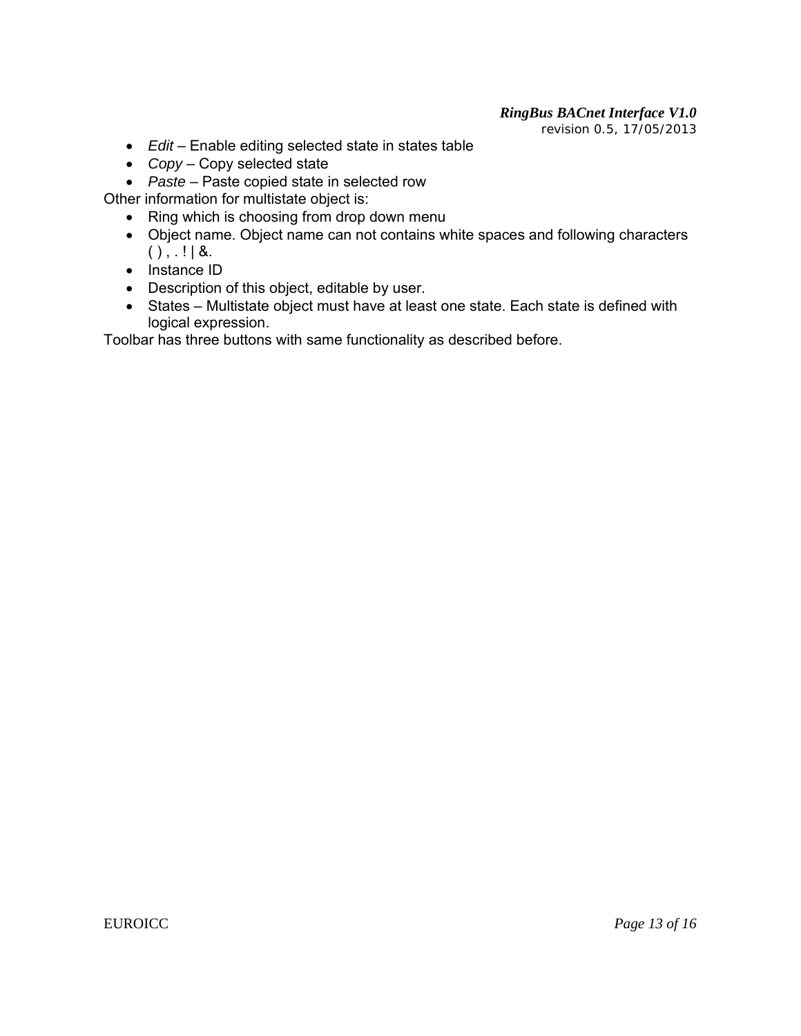# *RingBus BACnet Interface V1.0*

 *revision 0.5, 17/05/2013*

- *Edit* Enable editing selected state in states table
- *Copy* Copy selected state
- *Paste* Paste copied state in selected row

Other information for multistate object is:

- Ring which is choosing from drop down menu
- Object name. Object name can not contains white spaces and following characters  $()$ ,  $|$   $|$  &.
- $\bullet$  Instance ID
- Description of this object, editable by user.
- States Multistate object must have at least one state. Each state is defined with logical expression.

Toolbar has three buttons with same functionality as described before.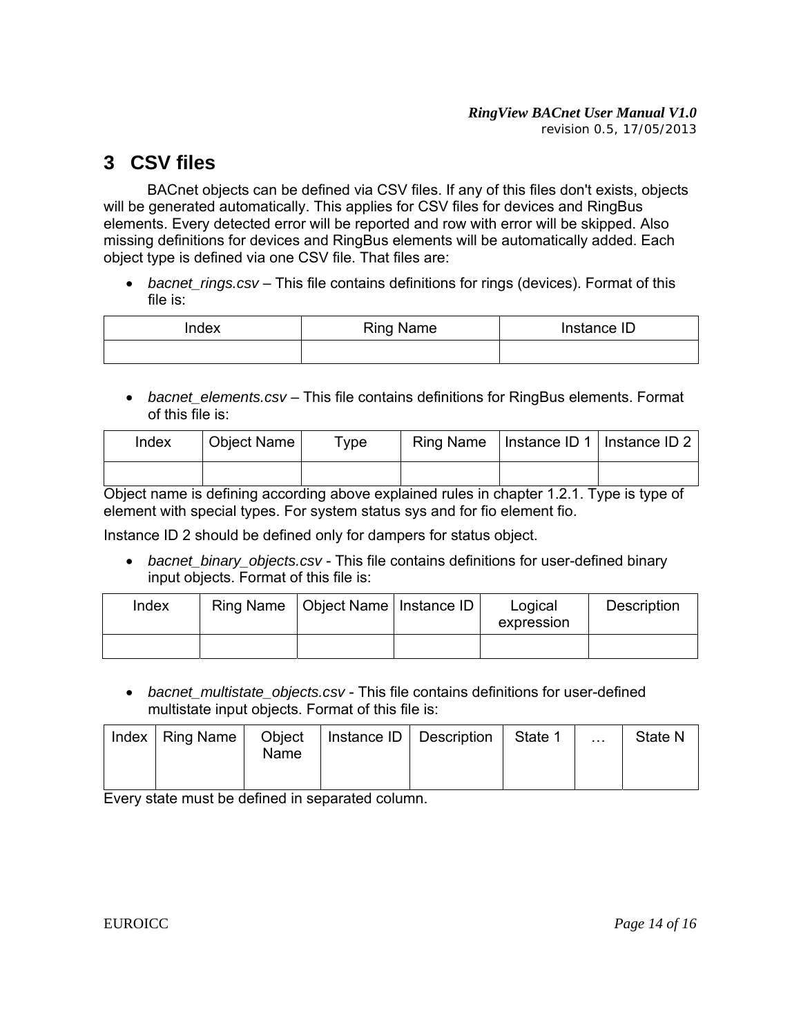# **3 CSV files**

 BACnet objects can be defined via CSV files. If any of this files don't exists, objects will be generated automatically. This applies for CSV files for devices and RingBus elements. Every detected error will be reported and row with error will be skipped. Also missing definitions for devices and RingBus elements will be automatically added. Each object type is defined via one CSV file. That files are:

 *bacnet\_rings.csv* – This file contains definitions for rings (devices). Format of this file is:

| Index | <b>Ring Name</b> | Instance ID |
|-------|------------------|-------------|
|       |                  |             |

 *bacnet\_elements.csv* – This file contains definitions for RingBus elements. Format of this file is:

| Index | Object Name | $\tau_\mathsf{VDE}$ | Ring Name | Instance ID 1   Instance ID 2 |
|-------|-------------|---------------------|-----------|-------------------------------|
|       |             |                     |           |                               |

Object name is defining according above explained rules in chapter 1.2.1. Type is type of element with special types. For system status sys and for fio element fio.

Instance ID 2 should be defined only for dampers for status object.

 *bacnet\_binary\_objects.csv* - This file contains definitions for user-defined binary input objects. Format of this file is:

| Index | Ring Name   Object Name   Instance ID | Logical<br>expression | Description |
|-------|---------------------------------------|-----------------------|-------------|
|       |                                       |                       |             |

 *bacnet\_multistate\_objects.csv* - This file contains definitions for user-defined multistate input objects. Format of this file is:

| Index   Ring Name | Object $\parallel$<br><b>Name</b> | Instance ID   Description | State 1 | $\cdots$ | State N |
|-------------------|-----------------------------------|---------------------------|---------|----------|---------|
|                   |                                   |                           |         |          |         |

Every state must be defined in separated column.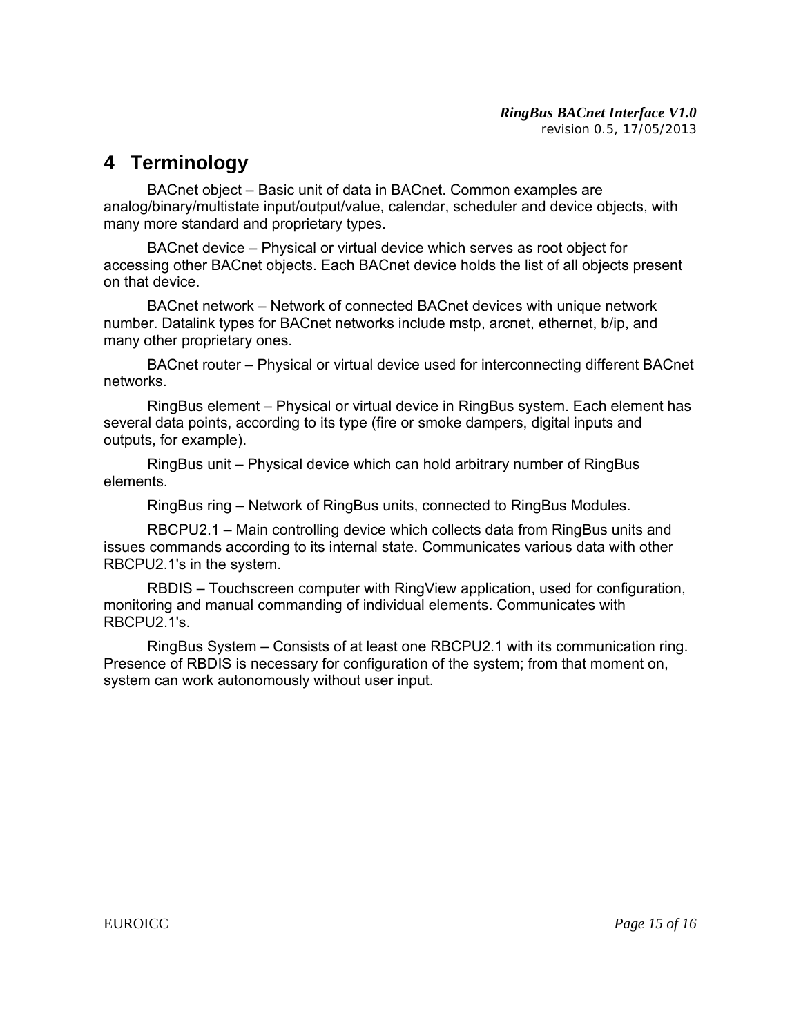### **4 Terminology**

 BACnet object – Basic unit of data in BACnet. Common examples are analog/binary/multistate input/output/value, calendar, scheduler and device objects, with many more standard and proprietary types.

 BACnet device – Physical or virtual device which serves as root object for accessing other BACnet objects. Each BACnet device holds the list of all objects present on that device.

 BACnet network – Network of connected BACnet devices with unique network number. Datalink types for BACnet networks include mstp, arcnet, ethernet, b/ip, and many other proprietary ones.

 BACnet router – Physical or virtual device used for interconnecting different BACnet networks.

 RingBus element – Physical or virtual device in RingBus system. Each element has several data points, according to its type (fire or smoke dampers, digital inputs and outputs, for example).

 RingBus unit – Physical device which can hold arbitrary number of RingBus elements.

RingBus ring – Network of RingBus units, connected to RingBus Modules.

 RBCPU2.1 – Main controlling device which collects data from RingBus units and issues commands according to its internal state. Communicates various data with other RBCPU2.1's in the system.

 RBDIS – Touchscreen computer with RingView application, used for configuration, monitoring and manual commanding of individual elements. Communicates with RBCPU2.1's.

 RingBus System – Consists of at least one RBCPU2.1 with its communication ring. Presence of RBDIS is necessary for configuration of the system; from that moment on, system can work autonomously without user input.